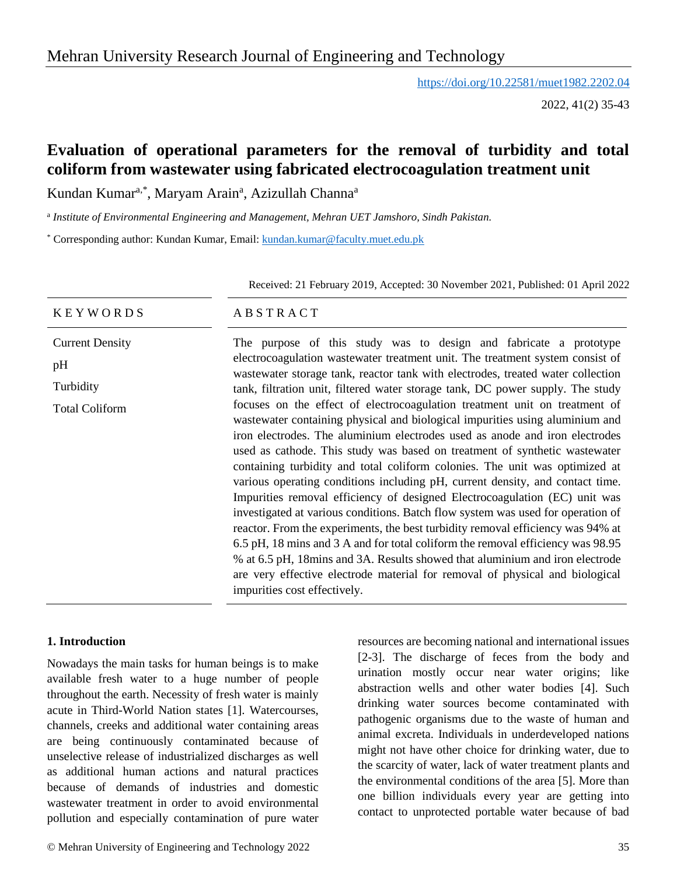# Mehran University Research Journal of Engineering and Technology

<https://doi.org/10.22581/muet1982.2202.04>

2022, 41(2) 35-43

# **Evaluation of operational parameters for the removal of turbidity and total coliform from wastewater using fabricated electrocoagulation treatment unit**

Kundan Kumar<sup>a,\*</sup>, Maryam Arain<sup>a</sup>, Azizullah Channa<sup>a</sup>

a *Institute of Environmental Engineering and Management, Mehran UET Jamshoro, Sindh Pakistan.*

\* Corresponding author: Kundan Kumar, Email: [kundan.kumar@faculty.muet.edu.pk](mailto:kundan.kumar@faculty.muet.edu.pk)

Received: 21 February 2019, Accepted: 30 November 2021, Published: 01 April 2022

#### K E Y W O R D S A B S T R A C T

Current Density pH Turbidity Total Coliform

The purpose of this study was to design and fabricate a prototype electrocoagulation wastewater treatment unit. The treatment system consist of wastewater storage tank, reactor tank with electrodes, treated water collection tank, filtration unit, filtered water storage tank, DC power supply. The study focuses on the effect of electrocoagulation treatment unit on treatment of wastewater containing physical and biological impurities using aluminium and iron electrodes. The aluminium electrodes used as anode and iron electrodes used as cathode. This study was based on treatment of synthetic wastewater containing turbidity and total coliform colonies. The unit was optimized at various operating conditions including pH, current density, and contact time. Impurities removal efficiency of designed Electrocoagulation (EC) unit was investigated at various conditions. Batch flow system was used for operation of reactor. From the experiments, the best turbidity removal efficiency was 94% at 6.5 pH, 18 mins and 3 A and for total coliform the removal efficiency was 98.95 % at 6.5 pH, 18mins and 3A. Results showed that aluminium and iron electrode are very effective electrode material for removal of physical and biological impurities cost effectively.

### **1. Introduction**

Nowadays the main tasks for human beings is to make available fresh water to a huge number of people throughout the earth. Necessity of fresh water is mainly acute in Third-World Nation states [1]. Watercourses, channels, creeks and additional water containing areas are being continuously contaminated because of unselective release of industrialized discharges as well as additional human actions and natural practices because of demands of industries and domestic wastewater treatment in order to avoid environmental pollution and especially contamination of pure water

© Mehran University of Engineering and Technology 2022 35

resources are becoming national and international issues [2-3]. The discharge of feces from the body and urination mostly occur near water origins; like abstraction wells and other water bodies [4]. Such drinking water sources become contaminated with pathogenic organisms due to the waste of human and animal excreta. Individuals in underdeveloped nations might not have other choice for drinking water, due to the scarcity of water, lack of water treatment plants and the environmental conditions of the area [5]. More than one billion individuals every year are getting into contact to unprotected portable water because of bad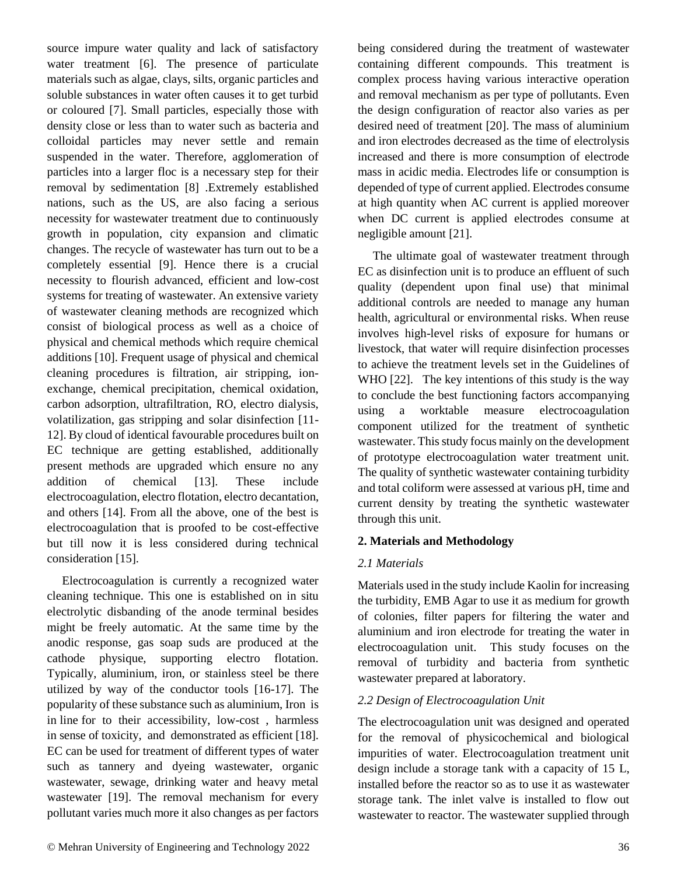source impure water quality and lack of satisfactory water treatment [6]. The presence of particulate materials such as algae, clays, silts, organic particles and soluble substances in water often causes it to get turbid or coloured [7]. Small particles, especially those with density close or less than to water such as bacteria and colloidal particles may never settle and remain suspended in the water. Therefore, agglomeration of particles into a larger floc is a necessary step for their removal by sedimentation [8] .Extremely established nations, such as the US, are also facing a serious necessity for wastewater treatment due to continuously growth in population, city expansion and climatic changes. The recycle of wastewater has turn out to be a completely essential [9]. Hence there is a crucial necessity to flourish advanced, efficient and low-cost systems for treating of wastewater. An extensive variety of wastewater cleaning methods are recognized which consist of biological process as well as a choice of physical and chemical methods which require chemical additions [10]. Frequent usage of physical and chemical cleaning procedures is filtration, air stripping, ionexchange, chemical precipitation, chemical oxidation, carbon adsorption, ultrafiltration, RO, electro dialysis, volatilization, gas stripping and solar disinfection [11- 12]. By cloud of identical favourable procedures built on EC technique are getting established, additionally present methods are upgraded which ensure no any addition of chemical [13]. These include electrocoagulation, electro flotation, electro decantation, and others [14]. From all the above, one of the best is electrocoagulation that is proofed to be cost-effective but till now it is less considered during technical consideration [15].

Electrocoagulation is currently a recognized water cleaning technique. This one is established on in situ electrolytic disbanding of the anode terminal besides might be freely automatic. At the same time by the anodic response, gas soap suds are produced at the cathode physique, supporting electro flotation. Typically, aluminium, iron, or stainless steel be there utilized by way of the conductor tools [16-17]. The popularity of these substance such as aluminium, Iron is in line for to their accessibility, low-cost , harmless in sense of toxicity, and demonstrated as efficient [18]. EC can be used for treatment of different types of water such as tannery and dyeing wastewater, organic wastewater, sewage, drinking water and heavy metal wastewater [19]. The removal mechanism for every pollutant varies much more it also changes as per factors

being considered during the treatment of wastewater containing different compounds. This treatment is complex process having various interactive operation and removal mechanism as per type of pollutants. Even the design configuration of reactor also varies as per desired need of treatment [20]. The mass of aluminium and iron electrodes decreased as the time of electrolysis increased and there is more consumption of electrode mass in acidic media. Electrodes life or consumption is depended of type of current applied. Electrodes consume at high quantity when AC current is applied moreover when DC current is applied electrodes consume at negligible amount [21].

The ultimate goal of wastewater treatment through EC as disinfection unit is to produce an effluent of such quality (dependent upon final use) that minimal additional controls are needed to manage any human health, agricultural or environmental risks. When reuse involves high-level risks of exposure for humans or livestock, that water will require disinfection processes to achieve the treatment levels set in the Guidelines of WHO [22]. The key intentions of this study is the way to conclude the best functioning factors accompanying using a worktable measure electrocoagulation component utilized for the treatment of synthetic wastewater. This study focus mainly on the development of prototype electrocoagulation water treatment unit. The quality of synthetic wastewater containing turbidity and total coliform were assessed at various pH, time and current density by treating the synthetic wastewater through this unit.

# **2. Materials and Methodology**

# *2.1 Materials*

Materials used in the study include Kaolin for increasing the turbidity, EMB Agar to use it as medium for growth of colonies, filter papers for filtering the water and aluminium and iron electrode for treating the water in electrocoagulation unit. This study focuses on the removal of turbidity and bacteria from synthetic wastewater prepared at laboratory.

### *2.2 Design of Electrocoagulation Unit*

The electrocoagulation unit was designed and operated for the removal of physicochemical and biological impurities of water. Electrocoagulation treatment unit design include a storage tank with a capacity of 15 L, installed before the reactor so as to use it as wastewater storage tank. The inlet valve is installed to flow out wastewater to reactor. The wastewater supplied through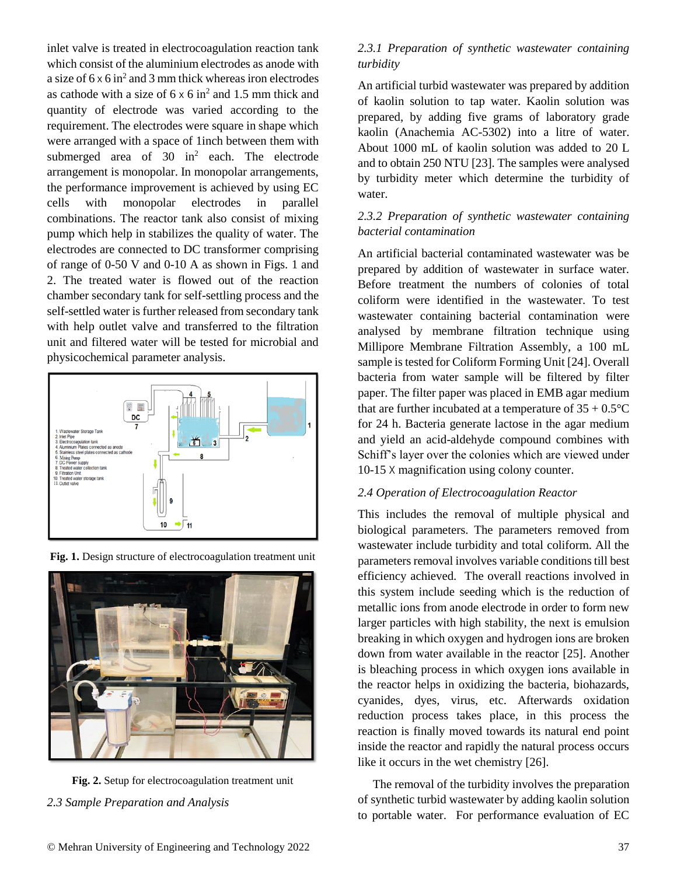inlet valve is treated in electrocoagulation reaction tank which consist of the aluminium electrodes as anode with a size of  $6 \times 6$  in<sup>2</sup> and 3 mm thick whereas iron electrodes as cathode with a size of  $6 \times 6$  in<sup>2</sup> and 1.5 mm thick and quantity of electrode was varied according to the requirement. The electrodes were square in shape which were arranged with a space of 1inch between them with submerged area of  $30 \text{ in}^2$  each. The electrode arrangement is monopolar. In monopolar arrangements, the performance improvement is achieved by using EC cells with monopolar electrodes in parallel combinations. The reactor tank also consist of mixing pump which help in stabilizes the quality of water. The electrodes are connected to DC transformer comprising of range of 0-50 V and 0-10 A as shown in Figs. 1 and 2. The treated water is flowed out of the reaction chamber secondary tank for self-settling process and the self-settled water is further released from secondary tank with help outlet valve and transferred to the filtration unit and filtered water will be tested for microbial and physicochemical parameter analysis.



**Fig. 1.** Design structure of electrocoagulation treatment unit

# **Fig. 2.** Setup for electrocoagulation treatment unit *2.3 Sample Preparation and Analysis*

## *2.3.1 Preparation of synthetic wastewater containing turbidity*

An artificial turbid wastewater was prepared by addition of kaolin solution to tap water. Kaolin solution was prepared, by adding five grams of laboratory grade kaolin (Anachemia AC-5302) into a litre of water. About 1000 mL of kaolin solution was added to 20 L and to obtain 250 NTU [23]. The samples were analysed by turbidity meter which determine the turbidity of water.

## *2.3.2 Preparation of synthetic wastewater containing bacterial contamination*

An artificial bacterial contaminated wastewater was be prepared by addition of wastewater in surface water. Before treatment the numbers of colonies of total coliform were identified in the wastewater. To test wastewater containing bacterial contamination were analysed by membrane filtration technique using Millipore Membrane Filtration Assembly, a 100 mL sample is tested for Coliform Forming Unit [24]. Overall bacteria from water sample will be filtered by filter paper. The filter paper was placed in EMB agar medium that are further incubated at a temperature of  $35 + 0.5^{\circ}$ C for 24 h. Bacteria generate lactose in the agar medium and yield an acid-aldehyde compound combines with Schiff's layer over the colonies which are viewed under 10-15 X magnification using colony counter.

## *2.4 Operation of Electrocoagulation Reactor*

This includes the removal of multiple physical and biological parameters. The parameters removed from wastewater include turbidity and total coliform. All the parameters removal involves variable conditions till best efficiency achieved. The overall reactions involved in this system include seeding which is the reduction of metallic ions from anode electrode in order to form new larger particles with high stability, the next is emulsion breaking in which oxygen and hydrogen ions are broken down from water available in the reactor [25]. Another is bleaching process in which oxygen ions available in the reactor helps in oxidizing the bacteria, biohazards, cyanides, dyes, virus, etc. Afterwards oxidation reduction process takes place, in this process the reaction is finally moved towards its natural end point inside the reactor and rapidly the natural process occurs like it occurs in the wet chemistry [26].

The removal of the turbidity involves the preparation of synthetic turbid wastewater by adding kaolin solution to portable water. For performance evaluation of EC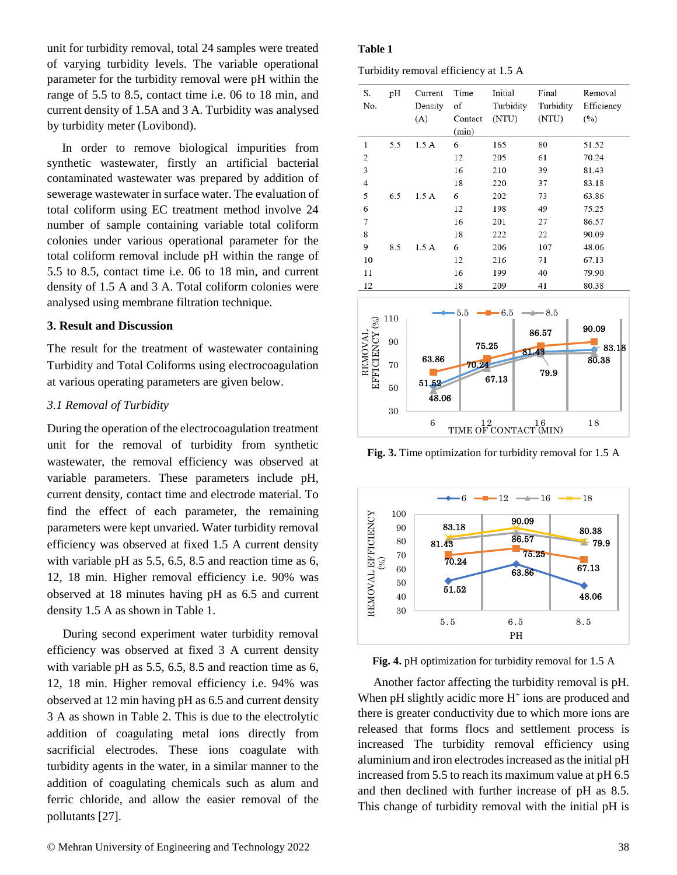unit for turbidity removal, total 24 samples were treated of varying turbidity levels. The variable operational parameter for the turbidity removal were pH within the range of 5.5 to 8.5, contact time i.e. 06 to 18 min, and current density of 1.5A and 3 A. Turbidity was analysed by turbidity meter (Lovibond).

In order to remove biological impurities from synthetic wastewater, firstly an artificial bacterial contaminated wastewater was prepared by addition of sewerage wastewater in surface water. The evaluation of total coliform using EC treatment method involve 24 number of sample containing variable total coliform colonies under various operational parameter for the total coliform removal include pH within the range of 5.5 to 8.5, contact time i.e. 06 to 18 min, and current density of 1.5 A and 3 A. Total coliform colonies were analysed using membrane filtration technique.

#### **3. Result and Discussion**

The result for the treatment of wastewater containing Turbidity and Total Coliforms using electrocoagulation at various operating parameters are given below.

#### *3.1 Removal of Turbidity*

During the operation of the electrocoagulation treatment unit for the removal of turbidity from synthetic wastewater, the removal efficiency was observed at variable parameters. These parameters include pH, current density, contact time and electrode material. To find the effect of each parameter, the remaining parameters were kept unvaried. Water turbidity removal efficiency was observed at fixed 1.5 A current density with variable pH as 5.5, 6.5, 8.5 and reaction time as 6, 12, 18 min. Higher removal efficiency i.e. 90% was observed at 18 minutes having pH as 6.5 and current density 1.5 A as shown in Table 1.

During second experiment water turbidity removal efficiency was observed at fixed 3 A current density with variable pH as 5.5, 6.5, 8.5 and reaction time as 6, 12, 18 min. Higher removal efficiency i.e. 94% was observed at 12 min having pH as 6.5 and current density 3 A as shown in Table 2. This is due to the electrolytic addition of coagulating metal ions directly from sacrificial electrodes. These ions coagulate with turbidity agents in the water, in a similar manner to the addition of coagulating chemicals such as alum and ferric chloride, and allow the easier removal of the pollutants [27].

#### **Table 1**

Turbidity removal efficiency at 1.5 A

| S.<br>No.      | pH  | Current<br>Density<br>(A) | Time<br>of<br>Contact<br>(min) | Initial<br>Turbidity<br>(NTU) | Final<br>Turbidity<br>(NTU) | Removal<br>Efficiency<br>(%) |
|----------------|-----|---------------------------|--------------------------------|-------------------------------|-----------------------------|------------------------------|
| $\,1$          | 5.5 | 1.5A                      | 6                              | 165                           | 80                          | 51.52                        |
| $\overline{2}$ |     |                           | 12                             | 205                           | 61                          | 70.24                        |
| 3              |     |                           | 16                             | 210                           | 39                          | 81.43                        |
| $\overline{4}$ |     |                           | 18                             | 220                           | 37                          | 83.18                        |
| 5              | 6.5 | 1.5A                      | 6                              | 202                           | 73                          | 63.86                        |
| 6              |     |                           | 12                             | 198                           | 49                          | 75.25                        |
| 7              |     |                           | 16                             | 201                           | 27                          | 86.57                        |
| 8              |     |                           | 18                             | 222                           | 22                          | 90.09                        |
| 9              | 8.5 | 1.5A                      | 6                              | 206                           | 107                         | 48.06                        |
| 10             |     |                           | 12                             | 216                           | 71                          | 67.13                        |
| 11             |     |                           | 16                             | 199                           | 40                          | 79.90                        |
| 12             |     |                           | 18                             | 209                           | 41                          | 80.38                        |



**Fig. 3.** Time optimization for turbidity removal for 1.5 A



**Fig. 4.** pH optimization for turbidity removal for 1.5 A

Another factor affecting the turbidity removal is pH. When pH slightly acidic more H<sup>+</sup> ions are produced and there is greater conductivity due to which more ions are released that forms flocs and settlement process is increased The turbidity removal efficiency using aluminium and iron electrodes increased as the initial pH increased from 5.5 to reach its maximum value at pH 6.5 and then declined with further increase of pH as 8.5. This change of turbidity removal with the initial pH is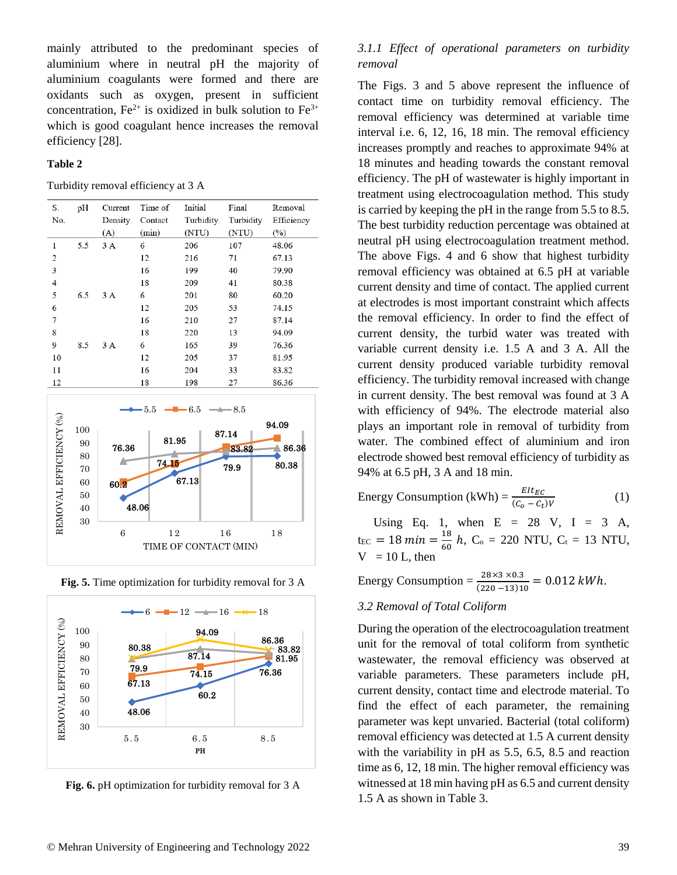mainly attributed to the predominant species of aluminium where in neutral pH the majority of aluminium coagulants were formed and there are oxidants such as oxygen, present in sufficient concentration,  $Fe^{2+}$  is oxidized in bulk solution to  $Fe^{3+}$ which is good coagulant hence increases the removal efficiency [28].

#### **Table 2**

Turbidity removal efficiency at 3 A

| S.             | pH  | Current | Time of | Initial   | Final     | Removal    |
|----------------|-----|---------|---------|-----------|-----------|------------|
| No.            |     | Density | Contact | Turbidity | Turbidity | Efficiency |
|                |     | (A)     | (min)   | (NTU)     | (NTU)     | $(\%)$     |
| 1              | 5.5 | 3A      | 6       | 206       | 107       | 48.06      |
| 2              |     |         | 12      | 216       | 71        | 67.13      |
| 3              |     |         | 16      | 199       | 40        | 79.90      |
| $\overline{4}$ |     |         | 18      | 209       | 41        | 80.38      |
| 5              | 6.5 | 3A      | 6       | 201       | 80        | 60.20      |
| 6              |     |         | 12      | 205       | 53        | 74.15      |
| 7              |     |         | 16      | 210       | 27        | 87.14      |
| 8              |     |         | 18      | 220       | 13        | 94.09      |
| 9              | 8.5 | 3A      | 6       | 165       | 39        | 76.36      |
| 10             |     |         | 12      | 205       | 37        | 81.95      |
| 11             |     |         | 16      | 204       | 33        | 83.82      |
| 12             |     |         | 18      | 198       | 27        | 86.36      |
|                |     |         |         |           |           |            |







**Fig. 6.** pH optimization for turbidity removal for 3 A

# *3.1.1 Effect of operational parameters on turbidity removal*

The Figs. 3 and 5 above represent the influence of contact time on turbidity removal efficiency. The removal efficiency was determined at variable time interval i.e. 6, 12, 16, 18 min. The removal efficiency increases promptly and reaches to approximate 94% at 18 minutes and heading towards the constant removal efficiency. The pH of wastewater is highly important in treatment using electrocoagulation method. This study is carried by keeping the pH in the range from 5.5 to 8.5. The best turbidity reduction percentage was obtained at neutral pH using electrocoagulation treatment method. The above Figs. 4 and 6 show that highest turbidity removal efficiency was obtained at 6.5 pH at variable current density and time of contact. The applied current at electrodes is most important constraint which affects the removal efficiency. In order to find the effect of current density, the turbid water was treated with variable current density i.e. 1.5 A and 3 A. All the current density produced variable turbidity removal efficiency. The turbidity removal increased with change in current density. The best removal was found at 3 A with efficiency of 94%. The electrode material also plays an important role in removal of turbidity from water. The combined effect of aluminium and iron electrode showed best removal efficiency of turbidity as 94% at 6.5 pH, 3 A and 18 min.

Energy Consumption (kWh) =  $\frac{EIt_{EC}}{(C_o - C_t)V}$ 

Using Eq. 1, when  $E = 28$  V,  $I = 3$  A,  $t_{EC} = 18 \, min = \frac{18}{60}$  $\frac{16}{60}$  h, C<sub>o</sub> = 220 NTU, C<sub>t</sub> = 13 NTU,  $V = 10$  L, then

Energy Consumption =  $\frac{28\times3\times0.3}{(220-13)10}$  = 0.012 kWh.

#### *3.2 Removal of Total Coliform*

During the operation of the electrocoagulation treatment unit for the removal of total coliform from synthetic wastewater, the removal efficiency was observed at variable parameters. These parameters include pH, current density, contact time and electrode material. To find the effect of each parameter, the remaining parameter was kept unvaried. Bacterial (total coliform) removal efficiency was detected at 1.5 A current density with the variability in pH as 5.5, 6.5, 8.5 and reaction time as 6, 12, 18 min. The higher removal efficiency was witnessed at 18 min having pH as 6.5 and current density 1.5 A as shown in Table 3.

(1)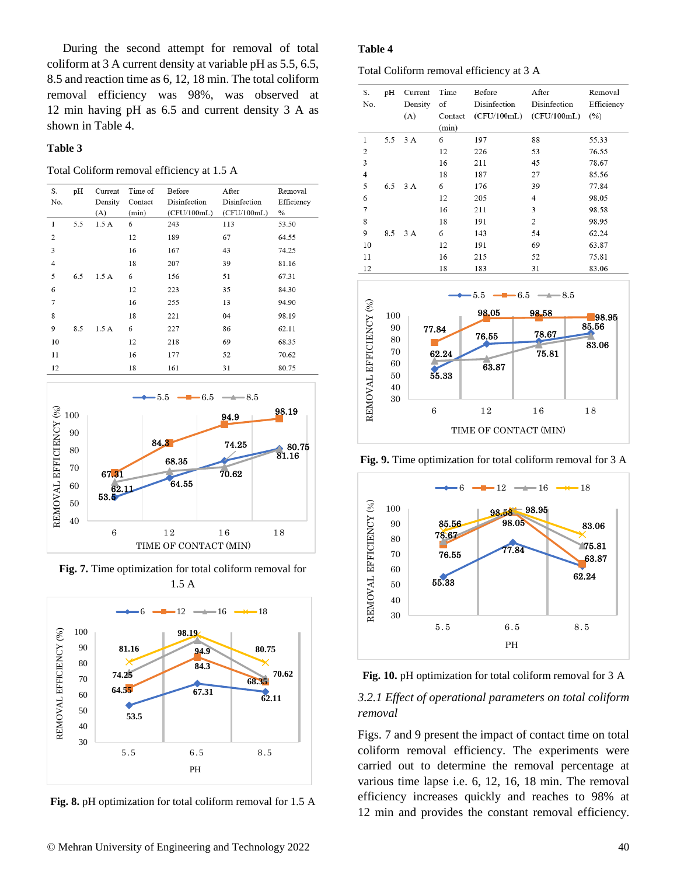During the second attempt for removal of total coliform at 3 A current density at variable pH as 5.5, 6.5, 8.5 and reaction time as 6, 12, 18 min. The total coliform removal efficiency was 98%, was observed at 12 min having pH as 6.5 and current density 3 A as shown in Table 4.

#### **Table 3**

Total Coliform removal efficiency at 1.5 A

| S.<br>No.      | pH  | Current<br>Density<br>(A) | Time of<br>Contact<br>(min) | Before<br>Disinfection<br>(CFU/100mL) | After<br>Disinfection<br>(CFU/100mL) | Removal<br>Efficiency<br>$\%$ |
|----------------|-----|---------------------------|-----------------------------|---------------------------------------|--------------------------------------|-------------------------------|
| 1              | 5.5 | 1.5A                      | 6                           | 243                                   | 113                                  | 53.50                         |
| $\overline{2}$ |     |                           | 12                          | 189                                   | 67                                   | 64.55                         |
| 3              |     |                           | 16                          | 167                                   | 43                                   | 74.25                         |
| $\overline{4}$ |     |                           | 18                          | 207                                   | 39                                   | 81.16                         |
| 5              | 6.5 | 1.5A                      | 6                           | 156                                   | 51                                   | 67.31                         |
| 6              |     |                           | 12                          | 223                                   | 35                                   | 84.30                         |
| 7              |     |                           | 16                          | 255                                   | 13                                   | 94.90                         |
| 8              |     |                           | 18                          | 221                                   | 04                                   | 98.19                         |
| 9              | 8.5 | 1.5A                      | 6                           | 227                                   | 86                                   | 62.11                         |
| 10             |     |                           | 12                          | 218                                   | 69                                   | 68.35                         |
| 11             |     |                           | 16                          | 177                                   | 52                                   | 70.62                         |
| 12             |     |                           | 18                          | 161                                   | 31                                   | 80.75                         |



**Fig. 7.** Time optimization for total coliform removal for 1.5 A



**Fig. 8.** pH optimization for total coliform removal for 1.5 A

#### **Table 4**

Total Coliform removal efficiency at 3 A

| S.<br>No. | pH  | Current<br>Density | Time<br>of | Before<br>Disinfection | After<br>Disinfection | Removal<br>Efficiency |
|-----------|-----|--------------------|------------|------------------------|-----------------------|-----------------------|
|           |     | (A)                | Contact    | (CFU/100mL)            | (CFU/100mL)           | (%)                   |
|           |     |                    | (min)      |                        |                       |                       |
|           | 5.5 | 3A                 | 6          | 197                    | 88                    | 55.33                 |
| 2         |     |                    | 12         | 226                    | 53                    | 76.55                 |
| 3         |     |                    | 16         | 211                    | 45                    | 78.67                 |
| 4         |     |                    | 18         | 187                    | 27                    | 85.56                 |
| 5         | 6.5 | 3A                 | 6          | 176                    | 39                    | 77.84                 |
| 6         |     |                    | 12         | 205                    | 4                     | 98.05                 |
| 7         |     |                    | 16         | 211                    | 3                     | 98.58                 |
| 8         |     |                    | 18         | 191                    | $\overline{2}$        | 98.95                 |
| 9         | 8.5 | 3A                 | 6          | 143                    | 54                    | 62.24                 |
| 10        |     |                    | 12         | 191                    | 69                    | 63.87                 |
| 11        |     |                    | 16         | 215                    | 52                    | 75.81                 |
| 12        |     |                    | 18         | 183                    | 31                    | 83.06                 |



**Fig. 9.** Time optimization for total coliform removal for 3 A



**Fig. 10.** pH optimization for total coliform removal for 3 A

### *3.2.1 Effect of operational parameters on total coliform removal*

Figs. 7 and 9 present the impact of contact time on total coliform removal efficiency. The experiments were carried out to determine the removal percentage at various time lapse i.e. 6, 12, 16, 18 min. The removal efficiency increases quickly and reaches to 98% at 12 min and provides the constant removal efficiency.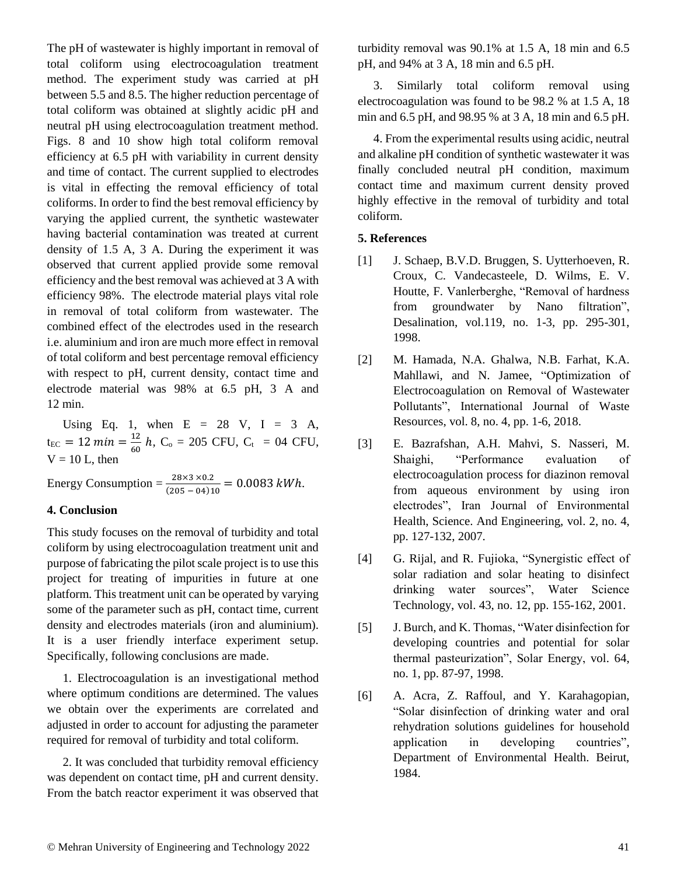The pH of wastewater is highly important in removal of total coliform using electrocoagulation treatment method. The experiment study was carried at pH between 5.5 and 8.5. The higher reduction percentage of total coliform was obtained at slightly acidic pH and neutral pH using electrocoagulation treatment method. Figs. 8 and 10 show high total coliform removal efficiency at 6.5 pH with variability in current density and time of contact. The current supplied to electrodes is vital in effecting the removal efficiency of total coliforms. In order to find the best removal efficiency by varying the applied current, the synthetic wastewater having bacterial contamination was treated at current density of 1.5 A, 3 A. During the experiment it was observed that current applied provide some removal efficiency and the best removal was achieved at 3 A with efficiency 98%. The electrode material plays vital role in removal of total coliform from wastewater. The combined effect of the electrodes used in the research i.e. aluminium and iron are much more effect in removal of total coliform and best percentage removal efficiency with respect to pH, current density, contact time and electrode material was 98% at 6.5 pH, 3 A and 12 min.

Using Eq. 1, when  $E = 28$  V,  $I = 3$  A,  $t_{EC} = 12 \, min = \frac{12}{60}$  $\frac{12}{60}$  h, C<sub>o</sub> = 205 CFU, C<sub>t</sub> = 04 CFU,  $V = 10$  L, then

Energy Consumption =  $\frac{28 \times 3 \times 0.2}{(205 - 0.1)4}$  $\frac{26 \times 3 \times 0.2}{(205 - 04)10} = 0.0083 \text{ kWh}.$ 

# **4. Conclusion**

This study focuses on the removal of turbidity and total coliform by using electrocoagulation treatment unit and purpose of fabricating the pilot scale project is to use this project for treating of impurities in future at one platform. This treatment unit can be operated by varying some of the parameter such as pH, contact time, current density and electrodes materials (iron and aluminium). It is a user friendly interface experiment setup. Specifically, following conclusions are made.

1. Electrocoagulation is an investigational method where optimum conditions are determined. The values we obtain over the experiments are correlated and adjusted in order to account for adjusting the parameter required for removal of turbidity and total coliform.

2. It was concluded that turbidity removal efficiency was dependent on contact time, pH and current density. From the batch reactor experiment it was observed that

turbidity removal was 90.1% at 1.5 A, 18 min and 6.5 pH, and 94% at 3 A, 18 min and 6.5 pH.

3. Similarly total coliform removal using electrocoagulation was found to be 98.2 % at 1.5 A, 18 min and 6.5 pH, and 98.95 % at 3 A, 18 min and 6.5 pH.

4. From the experimental results using acidic, neutral and alkaline pH condition of synthetic wastewater it was finally concluded neutral pH condition, maximum contact time and maximum current density proved highly effective in the removal of turbidity and total coliform.

### **5. References**

- [1] J. Schaep, B.V.D. Bruggen, S. Uytterhoeven, R. Croux, C. Vandecasteele, D. Wilms, E. V. Houtte, F. Vanlerberghe, "Removal of hardness from groundwater by Nano filtration", Desalination, vol.119, no. 1-3, pp. 295-301, 1998.
- [2] M. Hamada, N.A. Ghalwa, N.B. Farhat, K.A. Mahllawi, and N. Jamee, "Optimization of Electrocoagulation on Removal of Wastewater Pollutants", International Journal of Waste Resources, vol. 8, no. 4, pp. 1-6, 2018.
- [3] E. Bazrafshan, A.H. Mahvi, S. Nasseri, M. Shaighi, "Performance evaluation of electrocoagulation process for diazinon removal from aqueous environment by using iron electrodes", Iran Journal of Environmental Health, Science. And Engineering, vol. 2, no. 4, pp. 127-132, 2007.
- [4] G. Rijal, and R. Fujioka, "Synergistic effect of solar radiation and solar heating to disinfect drinking water sources", Water Science Technology, vol. 43, no. 12, pp. 155-162, 2001.
- [5] J. Burch, and K. Thomas, "Water disinfection for developing countries and potential for solar thermal pasteurization", Solar Energy, vol. 64, no. 1, pp. 87-97, 1998.
- [6] A. Acra, Z. Raffoul, and Y. Karahagopian, "Solar disinfection of drinking water and oral rehydration solutions guidelines for household application in developing countries", Department of Environmental Health. Beirut, 1984.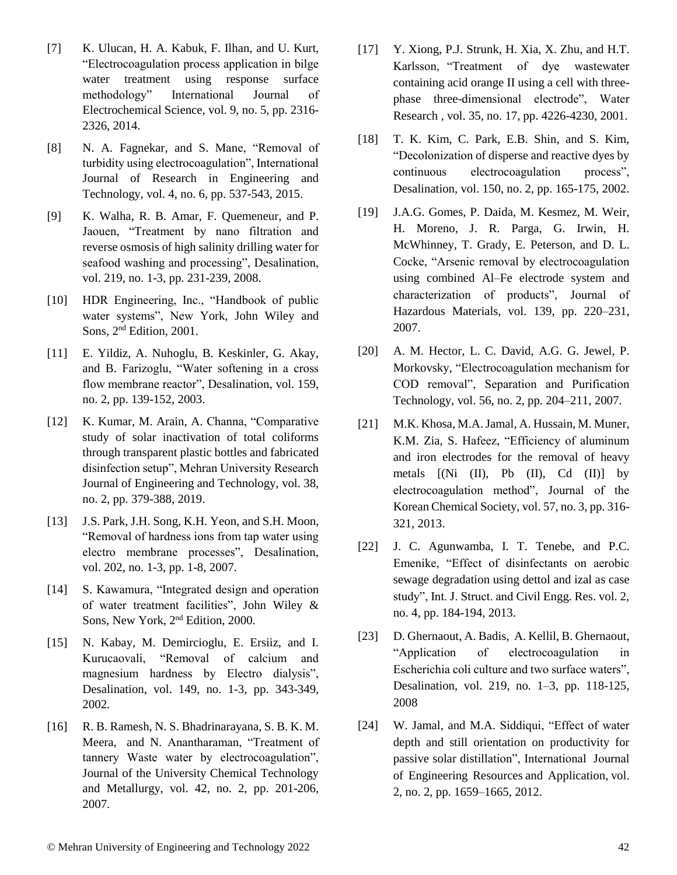- [7] K. Ulucan, H. A. Kabuk, F. Ilhan, and U. Kurt, "Electrocoagulation process application in bilge water treatment using response surface methodology" International Journal of Electrochemical Science, vol. 9, no. 5, pp. 2316- 2326, 2014.
- [8] N. A. Fagnekar, and S. Mane, "Removal of turbidity using electrocoagulation", International Journal of Research in Engineering and Technology, vol. 4, no. 6, pp. 537-543, 2015.
- [9] K. Walha, R. B. Amar, F. Quemeneur, and P. Jaouen, "Treatment by nano filtration and reverse osmosis of high salinity drilling water for seafood washing and processing", Desalination, vol. 219, no. 1-3, pp. 231-239, 2008.
- [10] HDR Engineering, Inc., "Handbook of public water systems", New York, John Wiley and Sons, 2nd Edition, 2001.
- [11] E. Yildiz, A. Nuhoglu, B. Keskinler, G. Akay, and B. Farizoglu, "Water softening in a cross flow membrane reactor", Desalination, vol. 159, no. 2, pp. 139-152, 2003.
- [12] K. Kumar, M. Arain, A. Channa, "Comparative study of solar inactivation of total coliforms through transparent plastic bottles and fabricated disinfection setup", Mehran University Research Journal of Engineering and Technology, vol. 38, no. 2, pp. 379-388, 2019.
- [13] J.S. Park, J.H. Song, K.H. Yeon, and S.H. Moon, "Removal of hardness ions from tap water using electro membrane processes", Desalination, vol. 202, no. 1-3, pp. 1-8, 2007.
- [14] S. Kawamura, "Integrated design and operation of water treatment facilities", John Wiley & Sons, New York, 2<sup>nd</sup> Edition, 2000.
- [15] N. Kabay, M. Demircioglu, E. Ersiiz, and I. Kurucaovali, "Removal of calcium and magnesium hardness by Electro dialysis", Desalination, vol. 149, no. 1-3, pp. 343-349, 2002.
- [16] R. B. Ramesh, N. S. Bhadrinarayana, S. B. K. M. Meera, and N. Anantharaman, "Treatment of tannery Waste water by electrocoagulation", Journal of the University Chemical Technology and Metallurgy, vol. 42, no. 2, pp. 201-206, 2007.
- [17] Y. Xiong, P.J. Strunk, H. Xia, X. Zhu, and H.T. Karlsson, "Treatment of dye wastewater containing acid orange II using a cell with threephase three-dimensional electrode", Water Research , vol. 35, no. 17, pp. 4226-4230, 2001.
- [18] T. K. Kim, C. Park, E.B. Shin, and S. Kim, "Decolonization of disperse and reactive dyes by continuous electrocoagulation process", Desalination, vol. 150, no. 2, pp. 165-175, 2002.
- [19] J.A.G. Gomes, P. Daida, M. Kesmez, M. Weir, H. Moreno, J. R. Parga, G. Irwin, H. McWhinney, T. Grady, E. Peterson, and D. L. Cocke, "Arsenic removal by electrocoagulation using combined Al–Fe electrode system and characterization of products", Journal of Hazardous Materials, vol. 139, pp. 220–231, 2007.
- [20] A. M. Hector, L. C. David, A.G. G. Jewel, P. Morkovsky, "Electrocoagulation mechanism for COD removal", Separation and Purification Technology, vol. 56, no. 2, pp. 204–211, 2007.
- [21] M.K. Khosa, M.A.Jamal, A. Hussain, M. Muner, K.M. Zia, S. Hafeez, "Efficiency of aluminum and iron electrodes for the removal of heavy metals [(Ni (II), Pb (II), Cd (II)] by electrocoagulation method", Journal of the Korean Chemical Society, vol. 57, no. 3, pp. 316- 321, 2013.
- [22] J. C. Agunwamba, I. T. Tenebe, and P.C. Emenike, "Effect of disinfectants on aerobic sewage degradation using dettol and izal as case study", Int. J. Struct. and Civil Engg. Res. vol. 2, no. 4, pp. 184-194, 2013.
- [23] D. Ghernaout, A. Badis, A. Kellil, B. Ghernaout, "Application of electrocoagulation in Escherichia coli culture and two surface waters", Desalination, vol. 219, no. 1–3, pp. 118-125, 2008
- [24] W. Jamal, and M.A. Siddiqui, "Effect of water depth and still orientation on productivity for passive solar distillation", International Journal of Engineering Resources and Application, vol. 2, no. 2, pp. 1659–1665, 2012.